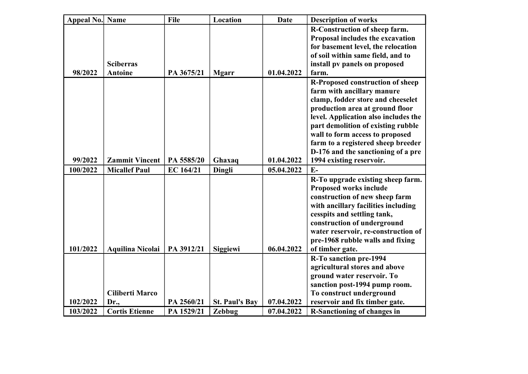| <b>Appeal No. Name</b> |                         | File       | Location              | <b>Date</b> | <b>Description of works</b>          |
|------------------------|-------------------------|------------|-----------------------|-------------|--------------------------------------|
|                        |                         |            |                       |             | R-Construction of sheep farm.        |
|                        |                         |            |                       |             | Proposal includes the excavation     |
|                        |                         |            |                       |             | for basement level, the relocation   |
|                        |                         |            |                       |             | of soil within same field, and to    |
|                        | <b>Sciberras</b>        |            |                       |             | install pv panels on proposed        |
| 98/2022                | <b>Antoine</b>          | PA 3675/21 | <b>Mgarr</b>          | 01.04.2022  | farm.                                |
|                        |                         |            |                       |             | R-Proposed construction of sheep     |
|                        |                         |            |                       |             | farm with ancillary manure           |
|                        |                         |            |                       |             | clamp, fodder store and cheeselet    |
|                        |                         |            |                       |             | production area at ground floor      |
|                        |                         |            |                       |             | level. Application also includes the |
|                        |                         |            |                       |             | part demolition of existing rubble   |
|                        |                         |            |                       |             | wall to form access to proposed      |
|                        |                         |            |                       |             | farm to a registered sheep breeder   |
|                        |                         |            |                       |             | D-176 and the sanctioning of a pre   |
| 99/2022                | <b>Zammit Vincent</b>   | PA 5585/20 | Ghaxaq                | 01.04.2022  | 1994 existing reservoir.             |
| 100/2022               | <b>Micallef Paul</b>    | EC 164/21  | Dingli                | 05.04.2022  | $E-$                                 |
|                        |                         |            |                       |             | R-To upgrade existing sheep farm.    |
|                        |                         |            |                       |             | <b>Proposed works include</b>        |
|                        |                         |            |                       |             | construction of new sheep farm       |
|                        |                         |            |                       |             | with ancillary facilities including  |
|                        |                         |            |                       |             | cesspits and settling tank,          |
|                        |                         |            |                       |             | construction of underground          |
|                        |                         |            |                       |             | water reservoir, re-construction of  |
|                        |                         |            |                       |             | pre-1968 rubble walls and fixing     |
| 101/2022               | <b>Aquilina Nicolai</b> | PA 3912/21 | Siggiewi              | 06.04.2022  | of timber gate.                      |
|                        |                         |            |                       |             | <b>R-To sanction pre-1994</b>        |
|                        |                         |            |                       |             | agricultural stores and above        |
|                        |                         |            |                       |             | ground water reservoir. To           |
|                        |                         |            |                       |             | sanction post-1994 pump room.        |
|                        | <b>Ciliberti Marco</b>  |            |                       |             | To construct underground             |
| 102/2022               | Dr.,                    | PA 2560/21 | <b>St. Paul's Bay</b> | 07.04.2022  | reservoir and fix timber gate.       |
| 103/2022               | <b>Cortis Etienne</b>   | PA 1529/21 | Zebbug                | 07.04.2022  | <b>R-Sanctioning of changes in</b>   |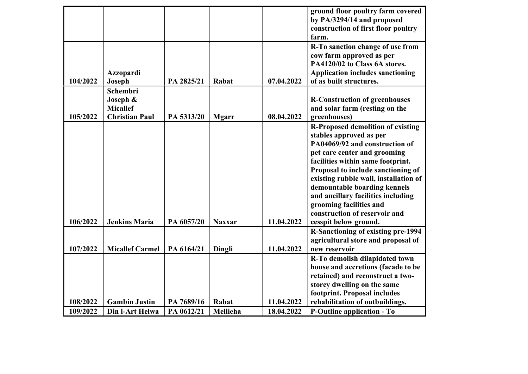| cow farm approved as per<br>PA4120/02 to Class 6A stores.<br><b>Application includes sanctioning</b><br>Azzopardi<br>of as built structures.<br>104/2022<br>Joseph<br>PA 2825/21<br>07.04.2022<br>Rabat<br>Schembri<br>Joseph &<br><b>R-Construction of greenhouses</b><br><b>Micallef</b><br>and solar farm (resting on the<br>105/2022<br>08.04.2022<br><b>Christian Paul</b><br>PA 5313/20<br>greenhouses)<br><b>Mgarr</b><br>stables approved as per<br>PA04069/92 and construction of<br>pet care center and grooming<br>facilities within same footprint. |  |  | ground floor poultry farm covered<br>by PA/3294/14 and proposed<br>construction of first floor poultry<br>farm.                                         |
|-----------------------------------------------------------------------------------------------------------------------------------------------------------------------------------------------------------------------------------------------------------------------------------------------------------------------------------------------------------------------------------------------------------------------------------------------------------------------------------------------------------------------------------------------------------------|--|--|---------------------------------------------------------------------------------------------------------------------------------------------------------|
|                                                                                                                                                                                                                                                                                                                                                                                                                                                                                                                                                                 |  |  | R-To sanction change of use from                                                                                                                        |
|                                                                                                                                                                                                                                                                                                                                                                                                                                                                                                                                                                 |  |  |                                                                                                                                                         |
| and ancillary facilities including<br>grooming facilities and<br>construction of reservoir and<br>106/2022<br><b>Jenkins Maria</b><br>PA 6057/20<br>11.04.2022<br>cesspit below ground.<br><b>Naxxar</b>                                                                                                                                                                                                                                                                                                                                                        |  |  | <b>R-Proposed demolition of existing</b><br>Proposal to include sanctioning of<br>existing rubble wall, installation of<br>demountable boarding kennels |
| 107/2022<br><b>Micallef Carmel</b><br>11.04.2022<br>PA 6164/21<br>Dingli<br>new reservoir                                                                                                                                                                                                                                                                                                                                                                                                                                                                       |  |  | <b>R-Sanctioning of existing pre-1994</b><br>agricultural store and proposal of                                                                         |
| R-To demolish dilapidated town<br>retained) and reconstruct a two-<br>storey dwelling on the same<br>footprint. Proposal includes                                                                                                                                                                                                                                                                                                                                                                                                                               |  |  | house and accretions (facade to be                                                                                                                      |
| rehabilitation of outbuildings.<br>108/2022<br><b>Gambin Justin</b><br>PA 7689/16<br>11.04.2022<br>Rabat<br>109/2022<br>Din l-Art Helwa<br>PA 0612/21<br>Mellieha<br>18.04.2022<br><b>P-Outline application - To</b>                                                                                                                                                                                                                                                                                                                                            |  |  |                                                                                                                                                         |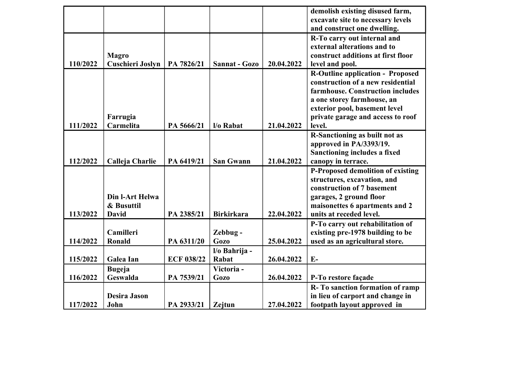|          |                         |                   |                   |            | demolish existing disused farm,         |
|----------|-------------------------|-------------------|-------------------|------------|-----------------------------------------|
|          |                         |                   |                   |            | excavate site to necessary levels       |
|          |                         |                   |                   |            | and construct one dwelling.             |
|          |                         |                   |                   |            | R-To carry out internal and             |
|          |                         |                   |                   |            | external alterations and to             |
|          | <b>Magro</b>            |                   |                   |            | construct additions at first floor      |
| 110/2022 | <b>Cuschieri Joslyn</b> | PA 7826/21        | Sannat - Gozo     | 20.04.2022 | level and pool.                         |
|          |                         |                   |                   |            | <b>R-Outline application - Proposed</b> |
|          |                         |                   |                   |            | construction of a new residential       |
|          |                         |                   |                   |            | farmhouse. Construction includes        |
|          |                         |                   |                   |            | a one storey farmhouse, an              |
|          |                         |                   |                   |            | exterior pool, basement level           |
|          | Farrugia                |                   |                   |            | private garage and access to roof       |
| 111/2022 | Carmelita               | PA 5666/21        | l/o Rabat         | 21.04.2022 | level.                                  |
|          |                         |                   |                   |            | R-Sanctioning as built not as           |
|          |                         |                   |                   |            | approved in PA/3393/19.                 |
|          |                         |                   |                   |            | Sanctioning includes a fixed            |
| 112/2022 | Calleja Charlie         | PA 6419/21        | <b>San Gwann</b>  | 21.04.2022 | canopy in terrace.                      |
|          |                         |                   |                   |            | P-Proposed demolition of existing       |
|          |                         |                   |                   |            | structures, excavation, and             |
|          |                         |                   |                   |            | construction of 7 basement              |
|          | Din l-Art Helwa         |                   |                   |            | garages, 2 ground floor                 |
|          | & Busuttil              |                   |                   |            | maisonettes 6 apartments and 2          |
| 113/2022 | <b>David</b>            | PA 2385/21        | <b>Birkirkara</b> | 22.04.2022 | units at receded level.                 |
|          |                         |                   |                   |            | P-To carry out rehabilitation of        |
|          | Camilleri               |                   | Zebbug-           |            | existing pre-1978 building to be        |
| 114/2022 | Ronald                  | PA 6311/20        | <b>Gozo</b>       | 25.04.2022 | used as an agricultural store.          |
|          |                         |                   | l/o Bahrija -     |            |                                         |
| 115/2022 | Galea Ian               | <b>ECF 038/22</b> | Rabat             | 26.04.2022 | $E-$                                    |
|          | <b>Bugeja</b>           |                   | Victoria-         |            |                                         |
| 116/2022 | <b>Geswalda</b>         | PA 7539/21        | <b>Gozo</b>       | 26.04.2022 | P-To restore façade                     |
|          |                         |                   |                   |            | R-To sanction formation of ramp         |
|          | <b>Desira Jason</b>     |                   |                   |            | in lieu of carport and change in        |
| 117/2022 | John                    | PA 2933/21        | Zejtun            | 27.04.2022 | footpath layout approved in             |